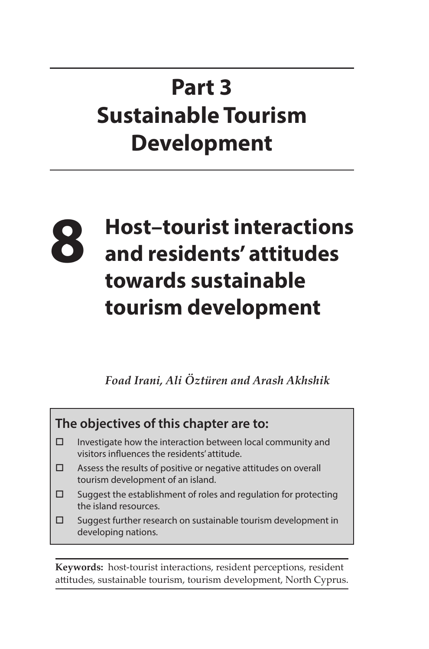# **Part 3 Sustainable Tourism Development**

# **8 Host–tourist interactions and residents' attitudes towards sustainable tourism development**

*Foad Irani, Ali Öztüren and Arash Akhshik*

### **The objectives of this chapter are to:**

- $\square$  Investigate how the interaction between local community and visitors influences the residents' attitude.
- $\square$  Assess the results of positive or negative attitudes on overall tourism development of an island.
- $\square$  Suggest the establishment of roles and regulation for protecting the island resources.
- $\square$  Suggest further research on sustainable tourism development in developing nations.

**Keywords:** host-tourist interactions, resident perceptions, resident attitudes, sustainable tourism, tourism development, North Cyprus.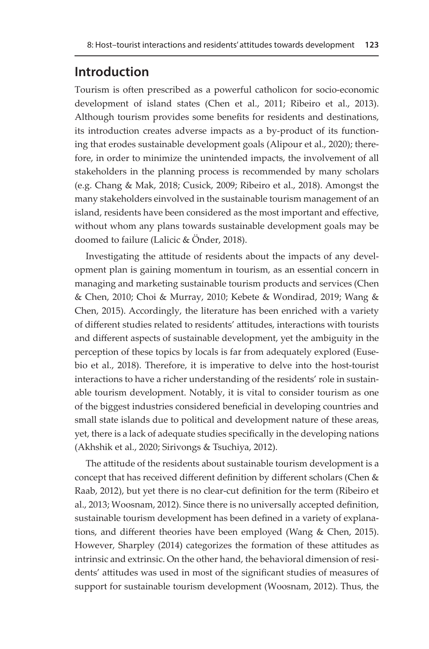### **Introduction**

Tourism is often prescribed as a powerful catholicon for socio-economic development of island states (Chen et al., 2011; Ribeiro et al., 2013). Although tourism provides some benefits for residents and destinations, its introduction creates adverse impacts as a by-product of its functioning that erodes sustainable development goals (Alipour et al., 2020); therefore, in order to minimize the unintended impacts, the involvement of all stakeholders in the planning process is recommended by many scholars (e.g. Chang & Mak, 2018; Cusick, 2009; Ribeiro et al., 2018). Amongst the many stakeholders einvolved in the sustainable tourism management of an island, residents have been considered as the most important and effective, without whom any plans towards sustainable development goals may be doomed to failure (Lalicic & Önder, 2018).

Investigating the attitude of residents about the impacts of any development plan is gaining momentum in tourism, as an essential concern in managing and marketing sustainable tourism products and services (Chen & Chen, 2010; Choi & Murray, 2010; Kebete & Wondirad, 2019; Wang & Chen, 2015). Accordingly, the literature has been enriched with a variety of different studies related to residents' attitudes, interactions with tourists and different aspects of sustainable development, yet the ambiguity in the perception of these topics by locals is far from adequately explored (Eusebio et al., 2018). Therefore, it is imperative to delve into the host-tourist interactions to have a richer understanding of the residents' role in sustainable tourism development. Notably, it is vital to consider tourism as one of the biggest industries considered beneficial in developing countries and small state islands due to political and development nature of these areas, yet, there is a lack of adequate studies specifically in the developing nations (Akhshik et al., 2020; Sirivongs & Tsuchiya, 2012).

The attitude of the residents about sustainable tourism development is a concept that has received different definition by different scholars (Chen & Raab, 2012), but yet there is no clear-cut definition for the term (Ribeiro et al., 2013; Woosnam, 2012). Since there is no universally accepted definition, sustainable tourism development has been defined in a variety of explanations, and different theories have been employed (Wang & Chen, 2015). However, Sharpley (2014) categorizes the formation of these attitudes as intrinsic and extrinsic. On the other hand, the behavioral dimension of residents' attitudes was used in most of the significant studies of measures of support for sustainable tourism development (Woosnam, 2012). Thus, the